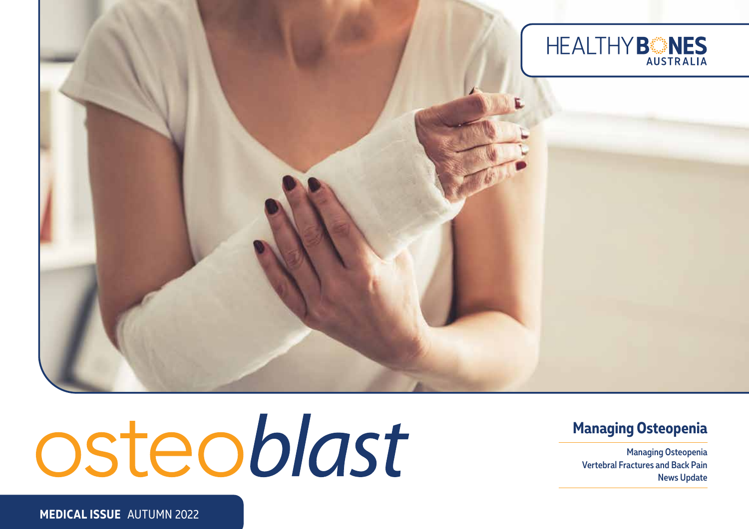

# osteoblast

#### **Managing Osteopenia**

Managing Osteopenia Vertebral Fractures and Back Pain News Update

**MEDICAL ISSUE** AUTUMN 2022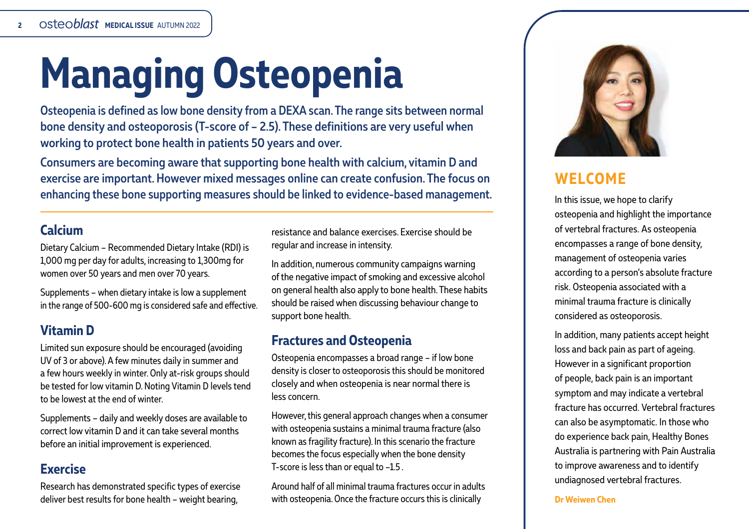# **Managing Osteopenia**

Osteopenia is defined as low bone density from a DEXA scan. The range sits between normal bone density and osteoporosis (T-score of – 2.5). These definitions are very useful when working to protect bone health in patients 50 years and over.

Consumers are becoming aware that supporting bone health with calcium, vitamin D and exercise are important. However mixed messages online can create confusion. The focus on enhancing these bone supporting measures should be linked to evidence-based management.

#### **Calcium**

Dietary Calcium – Recommended Dietary Intake (RDI) is 1,000 mg per day for adults, increasing to 1,300mg for women over 50 years and men over 70 years.

Supplements – when dietary intake is low a supplement in the range of 500-600 mg is considered safe and effective.

#### **Vitamin D**

Limited sun exposure should be encouraged (avoiding UV of 3 or above). A few minutes daily in summer and a few hours weekly in winter. Only at-risk groups should be tested for low vitamin D. Noting Vitamin D levels tend to be lowest at the end of winter.

Supplements – daily and weekly doses are available to correct low vitamin D and it can take several months before an initial improvement is experienced.

#### **Exercise**

Research has demonstrated specific types of exercise deliver best results for bone health – weight bearing,

resistance and balance exercises. Exercise should be regular and increase in intensity.

In addition, numerous community campaigns warning of the negative impact of smoking and excessive alcohol on general health also apply to bone health. These habits should be raised when discussing behaviour change to support bone health.

#### **Fractures and Osteopenia**

Osteopenia encompasses a broad range – if low bone density is closer to osteoporosis this should be monitored closely and when osteopenia is near normal there is less concern.

However, this general approach changes when a consumer with osteopenia sustains a minimal trauma fracture (also known as fragility fracture). In this scenario the fracture becomes the focus especially when the bone density T-score is less than or equal to -1.5.

Around half of all minimal trauma fractures occur in adults with osteopenia. Once the fracture occurs this is clinically



#### **WELCOME**

In this issue, we hope to clarify osteopenia and highlight the importance of vertebral fractures. As osteopenia encompasses a range of bone density, management of osteopenia varies according to a person's absolute fracture risk. Osteopenia associated with a minimal trauma fracture is clinically considered as osteoporosis.

In addition, many patients accept height loss and back pain as part of ageing. However in a significant proportion of people, back pain is an important symptom and may indicate a vertebral fracture has occurred. Vertebral fractures can also be asymptomatic. In those who do experience back pain, Healthy Bones Australia is partnering with Pain Australia to improve awareness and to identify undiagnosed vertebral fractures.

**Dr Weiwen Chen**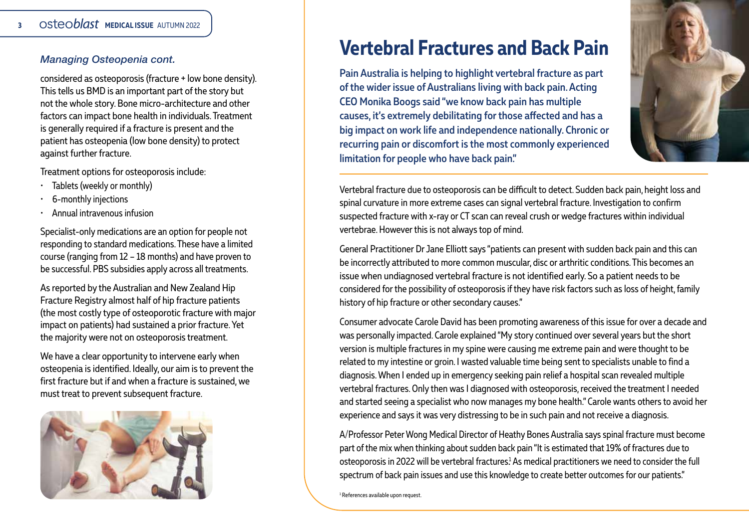#### *Managing Osteopenia cont.*

considered as osteoporosis (fracture + low bone density). This tells us BMD is an important part of the story but not the whole story. Bone micro-architecture and other factors can impact bone health in individuals. Treatment is generally required if a fracture is present and the patient has osteopenia (low bone density) to protect against further fracture.

Treatment options for osteoporosis include:

- Tablets (weekly or monthly)
- 6-monthly injections
- Annual intravenous infusion

Specialist-only medications are an option for people not responding to standard medications. These have a limited course (ranging from 12 – 18 months) and have proven to be successful. PBS subsidies apply across all treatments.

As reported by the Australian and New Zealand Hip Fracture Registry almost half of hip fracture patients (the most costly type of osteoporotic fracture with major impact on patients) had sustained a prior fracture. Yet the majority were not on osteoporosis treatment.

We have a clear opportunity to intervene early when osteopenia is identified. Ideally, our aim is to prevent the first fracture but if and when a fracture is sustained, we must treat to prevent subsequent fracture.



### **Vertebral Fractures and Back Pain**

Pain Australia is helping to highlight vertebral fracture as part of the wider issue of Australians living with back pain. Acting CEO Monika Boogs said "we know back pain has multiple causes, it's extremely debilitating for those affected and has a big impact on work life and independence nationally. Chronic or recurring pain or discomfort is the most commonly experienced limitation for people who have back pain."



Vertebral fracture due to osteoporosis can be difficult to detect. Sudden back pain, height loss and spinal curvature in more extreme cases can signal vertebral fracture. Investigation to confirm suspected fracture with x-ray or CT scan can reveal crush or wedge fractures within individual vertebrae. However this is not always top of mind.

General Practitioner Dr Jane Elliott says "patients can present with sudden back pain and this can be incorrectly attributed to more common muscular, disc or arthritic conditions. This becomes an issue when undiagnosed vertebral fracture is not identified early. So a patient needs to be considered for the possibility of osteoporosis if they have risk factors such as loss of height, family history of hip fracture or other secondary causes."

Consumer advocate Carole David has been promoting awareness of this issue for over a decade and was personally impacted. Carole explained "My story continued over several years but the short version is multiple fractures in my spine were causing me extreme pain and were thought to be related to my intestine or groin. I wasted valuable time being sent to specialists unable to find a diagnosis. When I ended up in emergency seeking pain relief a hospital scan revealed multiple vertebral fractures. Only then was I diagnosed with osteoporosis, received the treatment I needed and started seeing a specialist who now manages my bone health." Carole wants others to avoid her experience and says it was very distressing to be in such pain and not receive a diagnosis.

A/Professor Peter Wong Medical Director of Heathy Bones Australia says spinal fracture must become part of the mix when thinking about sudden back pain "It is estimated that 19% of fractures due to osteoporosis in 2022 will be vertebral fractures! As medical practitioners we need to consider the full spectrum of back pain issues and use this knowledge to create better outcomes for our patients."

1 References available upon request.